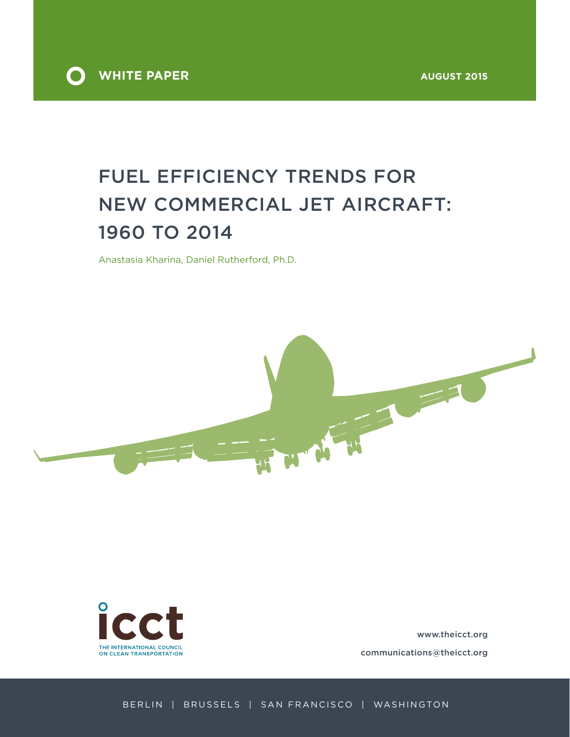

# Fuel efficiency trends for new commercial jet aircraft: 1960 to 2014

Anastasia Kharina, Daniel Rutherford, Ph.D.





www.theicct.org communications@theicct.org

Berlin | Brussels | San Francisco | Washington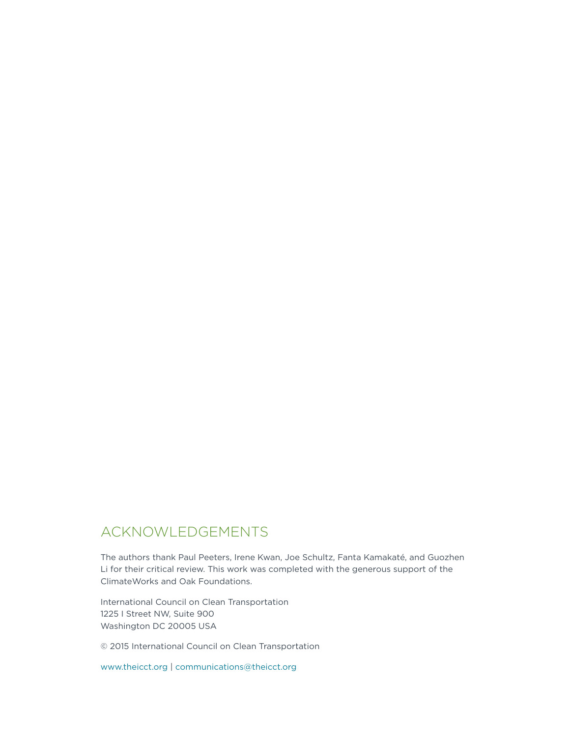# Acknowledgements

The authors thank Paul Peeters, Irene Kwan, Joe Schultz, Fanta Kamakaté, and Guozhen Li for their critical review. This work was completed with the generous support of the ClimateWorks and Oak Foundations.

International Council on Clean Transportation 1225 I Street NW, Suite 900 Washington DC 20005 USA

© 2015 International Council on Clean Transportation

www.theicct.org | communications@theicct.org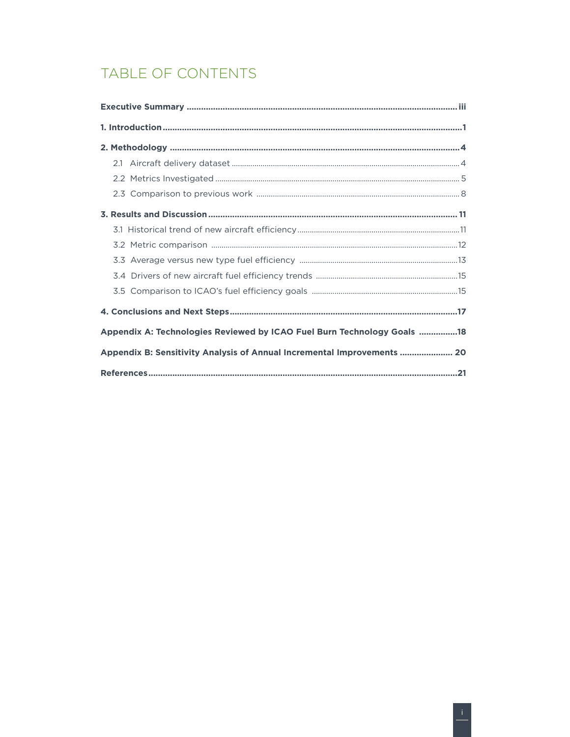# TABLE OF CONTENTS

| Appendix A: Technologies Reviewed by ICAO Fuel Burn Technology Goals 18 |
|-------------------------------------------------------------------------|
| Appendix B: Sensitivity Analysis of Annual Incremental Improvements  20 |
|                                                                         |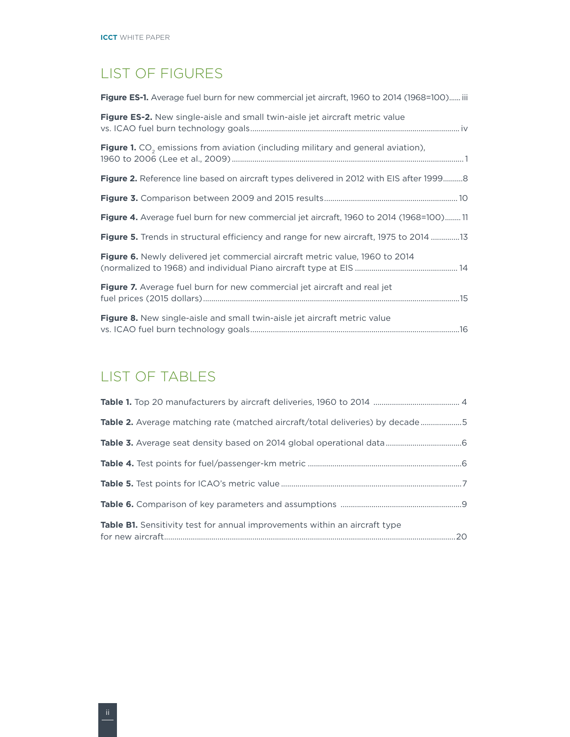## List of Figures

| <b>Figure ES-1.</b> Average fuel burn for new commercial jet aircraft, 1960 to 2014 (1968=100) iii  |  |
|-----------------------------------------------------------------------------------------------------|--|
| <b>Figure ES-2.</b> New single-aisle and small twin-aisle jet aircraft metric value                 |  |
| <b>Figure 1.</b> CO <sub>2</sub> emissions from aviation (including military and general aviation), |  |
| Figure 2. Reference line based on aircraft types delivered in 2012 with EIS after 19998             |  |
|                                                                                                     |  |
| <b>Figure 4.</b> Average fuel burn for new commercial jet aircraft, 1960 to 2014 (1968=100) 11      |  |
| <b>Figure 5.</b> Trends in structural efficiency and range for new aircraft, 1975 to 2014 13        |  |
| Figure 6. Newly delivered jet commercial aircraft metric value, 1960 to 2014                        |  |
| Figure 7. Average fuel burn for new commercial jet aircraft and real jet                            |  |
| Figure 8. New single-aisle and small twin-aisle jet aircraft metric value                           |  |

# List of Tables

| Table 2. Average matching rate (matched aircraft/total deliveries) by decade5     |  |
|-----------------------------------------------------------------------------------|--|
|                                                                                   |  |
|                                                                                   |  |
|                                                                                   |  |
|                                                                                   |  |
| <b>Table B1.</b> Sensitivity test for annual improvements within an aircraft type |  |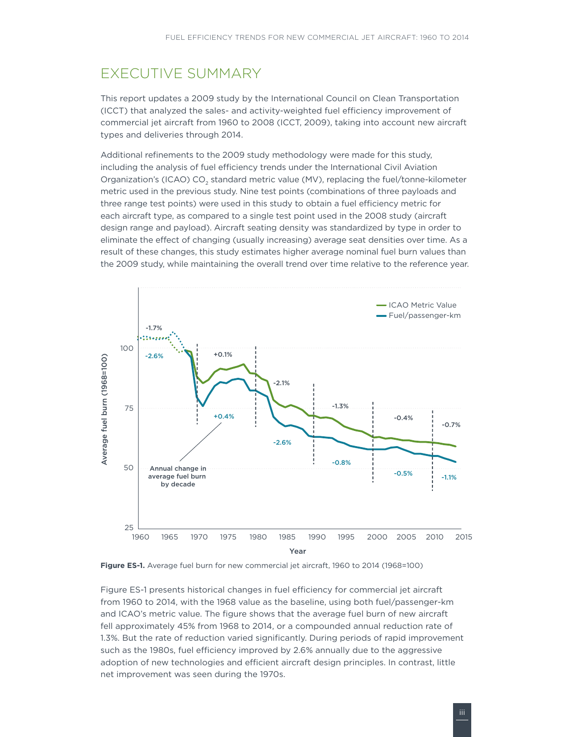# <span id="page-4-0"></span>Executive Summary

This report updates a 2009 study by the International Council on Clean Transportation (ICCT) that analyzed the sales- and activity-weighted fuel efficiency improvement of commercial jet aircraft from 1960 to 2008 (ICCT, 2009), taking into account new aircraft types and deliveries through 2014.

Additional refinements to the 2009 study methodology were made for this study, including the analysis of fuel efficiency trends under the International Civil Aviation Organization's (ICAO) CO<sub>2</sub> standard metric value (MV), replacing the fuel/tonne-kilometer metric used in the previous study. Nine test points (combinations of three payloads and three range test points) were used in this study to obtain a fuel efficiency metric for each aircraft type, as compared to a single test point used in the 2008 study (aircraft design range and payload). Aircraft seating density was standardized by type in order to eliminate the effect of changing (usually increasing) average seat densities over time. As a result of these changes, this study estimates higher average nominal fuel burn values than the 2009 study, while maintaining the overall trend over time relative to the reference year.





Figure ES-1 presents historical changes in fuel efficiency for commercial jet aircraft from 1960 to 2014, with the 1968 value as the baseline, using both fuel/passenger-km and ICAO's metric value. The figure shows that the average fuel burn of new aircraft fell approximately 45% from 1968 to 2014, or a compounded annual reduction rate of 1.3%. But the rate of reduction varied significantly. During periods of rapid improvement such as the 1980s, fuel efficiency improved by 2.6% annually due to the aggressive adoption of new technologies and efficient aircraft design principles. In contrast, little net improvement was seen during the 1970s.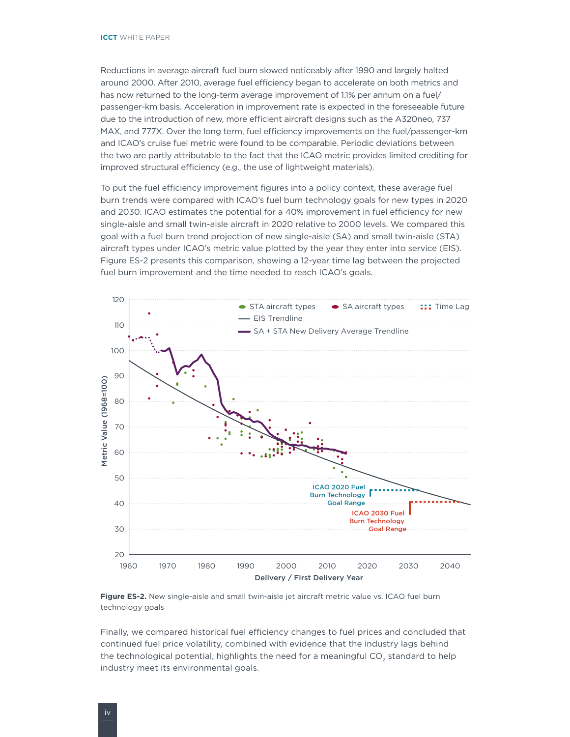<span id="page-5-0"></span>Reductions in average aircraft fuel burn slowed noticeably after 1990 and largely halted around 2000. After 2010, average fuel efficiency began to accelerate on both metrics and has now returned to the long-term average improvement of 1.1% per annum on a fuel/ passenger-km basis. Acceleration in improvement rate is expected in the foreseeable future due to the introduction of new, more efficient aircraft designs such as the A320neo, 737 MAX, and 777X. Over the long term, fuel efficiency improvements on the fuel/passenger-km and ICAO's cruise fuel metric were found to be comparable. Periodic deviations between the two are partly attributable to the fact that the ICAO metric provides limited crediting for improved structural efficiency (e.g., the use of lightweight materials).

To put the fuel efficiency improvement figures into a policy context, these average fuel burn trends were compared with ICAO's fuel burn technology goals for new types in 2020 and 2030. ICAO estimates the potential for a 40% improvement in fuel efficiency for new single-aisle and small twin-aisle aircraft in 2020 relative to 2000 levels. We compared this goal with a fuel burn trend projection of new single-aisle (SA) and small twin-aisle (STA) aircraft types under ICAO's metric value plotted by the year they enter into service (EIS). Figure ES-2 presents this comparison, showing a 12-year time lag between the projected fuel burn improvement and the time needed to reach ICAO's goals.



**Figure ES-2.** New single-aisle and small twin-aisle jet aircraft metric value vs. ICAO fuel burn technology goals

Finally, we compared historical fuel efficiency changes to fuel prices and concluded that continued fuel price volatility, combined with evidence that the industry lags behind the technological potential, highlights the need for a meaningful CO<sub>2</sub> standard to help industry meet its environmental goals.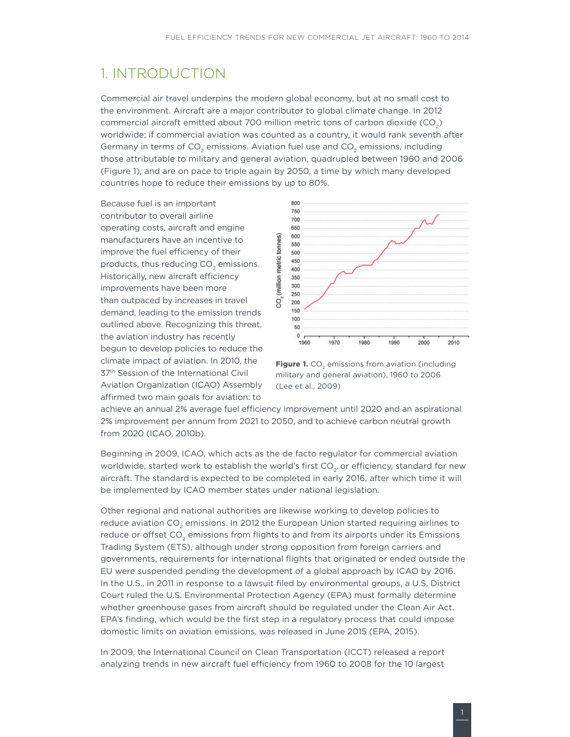### <span id="page-6-0"></span>1. Introduction

Commercial air travel underpins the modern global economy, but at no small cost to the environment. Aircraft are a major contributor to global climate change. In 2012 commercial aircraft emitted about 700 million metric tons of carbon dioxide (CO<sub>2</sub>) worldwide; if commercial aviation was counted as a country, it would rank seventh after Germany in terms of CO<sub>2</sub> emissions. Aviation fuel use and CO<sub>2</sub> emissions, including those attributable to military and general aviation, quadrupled between 1960 and 2006 (Figure 1), and are on pace to triple again by 2050, a time by which many developed countries hope to reduce their emissions by up to 80%.

Because fuel is an important contributor to overall airline operating costs, aircraft and engine manufacturers have an incentive to improve the fuel efficiency of their products, thus reducing  $CO<sub>2</sub>$  emissions. Historically, new aircraft efficiency improvements have been more than outpaced by increases in travel demand, leading to the emission trends outlined above. Recognizing this threat, the aviation industry has recently begun to develop policies to reduce the climate impact of aviation. In 2010, the 37th Session of the International Civil Aviation Organization (ICAO) Assembly affirmed two main goals for aviation: to



Figure 1. CO<sub>2</sub> emissions from aviation (including military and general aviation), 1960 to 2006 (Lee et al., 2009)

achieve an annual 2% average fuel efficiency improvement until 2020 and an aspirational 2% improvement per annum from 2021 to 2050, and to achieve carbon neutral growth from 2020 (ICAO, 2010b).

Beginning in 2009, ICAO, which acts as the de facto regulator for commercial aviation worldwide, started work to establish the world's first  $CO<sub>2</sub>$ , or efficiency, standard for new aircraft. The standard is expected to be completed in early 2016, after which time it will be implemented by ICAO member states under national legislation.

Other regional and national authorities are likewise working to develop policies to reduce aviation CO<sub>2</sub> emissions. In 2012 the European Union started requiring airlines to reduce or offset CO<sub>2</sub> emissions from flights to and from its airports under its Emissions Trading System (ETS), although under strong opposition from foreign carriers and governments, requirements for international flights that originated or ended outside the EU were suspended pending the development of a global approach by ICAO by 2016. In the U.S., in 2011 in response to a lawsuit filed by environmental groups, a U.S. District Court ruled the U.S. Environmental Protection Agency (EPA) must formally determine whether greenhouse gases from aircraft should be regulated under the Clean Air Act. EPA's finding, which would be the first step in a regulatory process that could impose domestic limits on aviation emissions, was released in June 2015 (EPA, 2015).

In 2009, the International Council on Clean Transportation (ICCT) released a report analyzing trends in new aircraft fuel efficiency from 1960 to 2008 for the 10 largest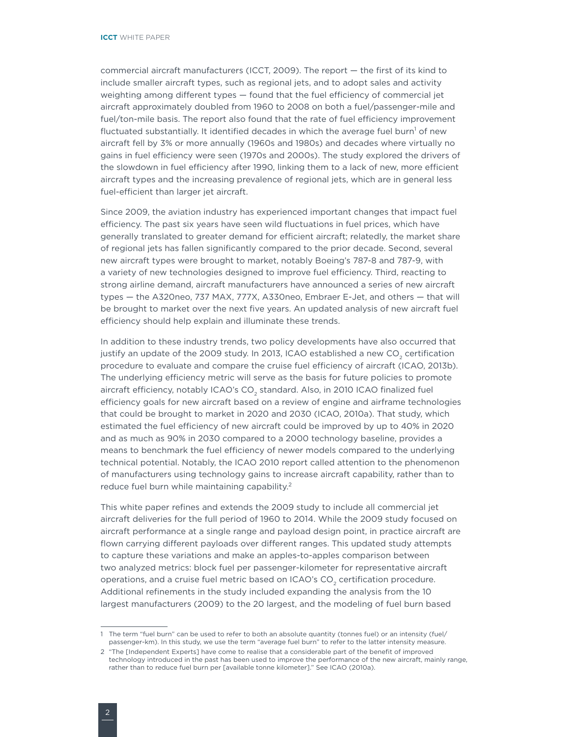commercial aircraft manufacturers (ICCT, 2009). The report — the first of its kind to include smaller aircraft types, such as regional jets, and to adopt sales and activity weighting among different types — found that the fuel efficiency of commercial jet aircraft approximately doubled from 1960 to 2008 on both a fuel/passenger-mile and fuel/ton-mile basis. The report also found that the rate of fuel efficiency improvement fluctuated substantially. It identified decades in which the average fuel burn<sup>1</sup> of new aircraft fell by 3% or more annually (1960s and 1980s) and decades where virtually no gains in fuel efficiency were seen (1970s and 2000s). The study explored the drivers of the slowdown in fuel efficiency after 1990, linking them to a lack of new, more efficient aircraft types and the increasing prevalence of regional jets, which are in general less fuel-efficient than larger jet aircraft.

Since 2009, the aviation industry has experienced important changes that impact fuel efficiency. The past six years have seen wild fluctuations in fuel prices, which have generally translated to greater demand for efficient aircraft; relatedly, the market share of regional jets has fallen significantly compared to the prior decade. Second, several new aircraft types were brought to market, notably Boeing's 787-8 and 787-9, with a variety of new technologies designed to improve fuel efficiency. Third, reacting to strong airline demand, aircraft manufacturers have announced a series of new aircraft types — the A320neo, 737 MAX, 777X, A330neo, Embraer E-Jet, and others — that will be brought to market over the next five years. An updated analysis of new aircraft fuel efficiency should help explain and illuminate these trends.

In addition to these industry trends, two policy developments have also occurred that justify an update of the 2009 study. In 2013, ICAO established a new CO<sub>2</sub> certification procedure to evaluate and compare the cruise fuel efficiency of aircraft (ICAO, 2013b). The underlying efficiency metric will serve as the basis for future policies to promote aircraft efficiency, notably ICAO's CO<sub>2</sub> standard. Also, in 2010 ICAO finalized fuel efficiency goals for new aircraft based on a review of engine and airframe technologies that could be brought to market in 2020 and 2030 (ICAO, 2010a). That study, which estimated the fuel efficiency of new aircraft could be improved by up to 40% in 2020 and as much as 90% in 2030 compared to a 2000 technology baseline, provides a means to benchmark the fuel efficiency of newer models compared to the underlying technical potential. Notably, the ICAO 2010 report called attention to the phenomenon of manufacturers using technology gains to increase aircraft capability, rather than to reduce fuel burn while maintaining capability.<sup>2</sup>

This white paper refines and extends the 2009 study to include all commercial jet aircraft deliveries for the full period of 1960 to 2014. While the 2009 study focused on aircraft performance at a single range and payload design point, in practice aircraft are flown carrying different payloads over different ranges. This updated study attempts to capture these variations and make an apples-to-apples comparison between two analyzed metrics: block fuel per passenger-kilometer for representative aircraft operations, and a cruise fuel metric based on ICAO's CO<sub>2</sub> certification procedure. Additional refinements in the study included expanding the analysis from the 10 largest manufacturers (2009) to the 20 largest, and the modeling of fuel burn based

<sup>1</sup> The term "fuel burn" can be used to refer to both an absolute quantity (tonnes fuel) or an intensity (fuel/ passenger-km). In this study, we use the term "average fuel burn" to refer to the latter intensity measure.

<sup>2</sup> "The [Independent Experts] have come to realise that a considerable part of the benefit of improved technology introduced in the past has been used to improve the performance of the new aircraft, mainly range, rather than to reduce fuel burn per [available tonne kilometer]." See ICAO (2010a).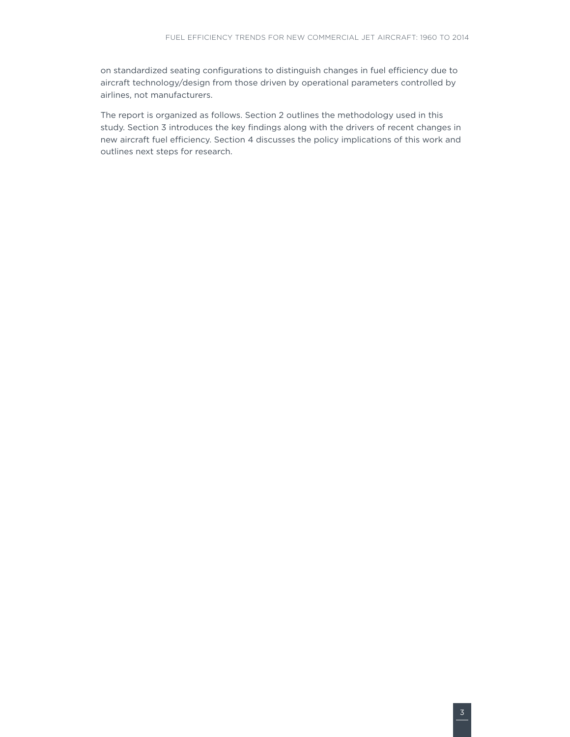on standardized seating configurations to distinguish changes in fuel efficiency due to aircraft technology/design from those driven by operational parameters controlled by airlines, not manufacturers.

The report is organized as follows. Section 2 outlines the methodology used in this study. Section 3 introduces the key findings along with the drivers of recent changes in new aircraft fuel efficiency. Section 4 discusses the policy implications of this work and outlines next steps for research.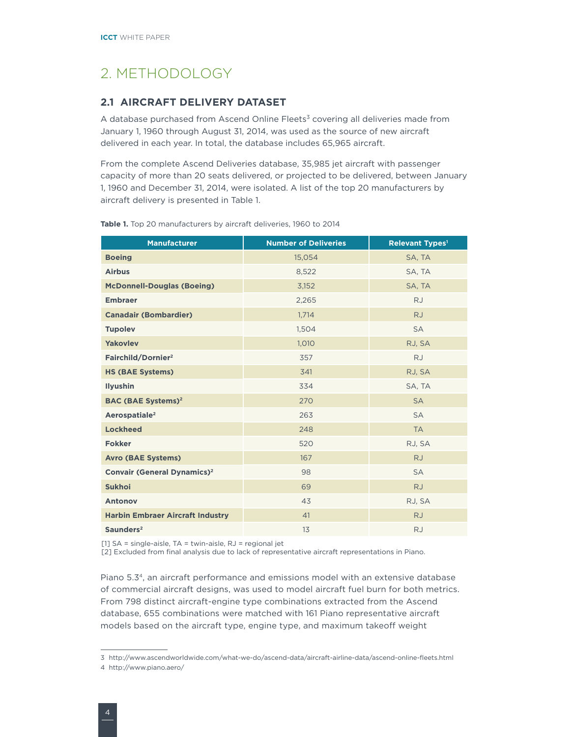# <span id="page-9-0"></span>2. Methodology

### **2.1 Aircraft delivery dataset**

A database purchased from Ascend Online Fleets<sup>3</sup> covering all deliveries made from January 1, 1960 through August 31, 2014, was used as the source of new aircraft delivered in each year. In total, the database includes 65,965 aircraft.

From the complete Ascend Deliveries database, 35,985 jet aircraft with passenger capacity of more than 20 seats delivered, or projected to be delivered, between January 1, 1960 and December 31, 2014, were isolated. A list of the top 20 manufacturers by aircraft delivery is presented in Table 1.

| <b>Manufacturer</b>                           | <b>Number of Deliveries</b> | <b>Relevant Types<sup>1</sup></b> |  |  |
|-----------------------------------------------|-----------------------------|-----------------------------------|--|--|
| <b>Boeing</b>                                 | 15,054                      | SA, TA                            |  |  |
| <b>Airbus</b>                                 | 8,522                       | SA, TA                            |  |  |
| <b>McDonnell-Douglas (Boeing)</b>             | 3,152                       | SA, TA                            |  |  |
| <b>Embraer</b>                                | 2,265                       | <b>RJ</b>                         |  |  |
| <b>Canadair (Bombardier)</b>                  | 1,714                       | <b>RJ</b>                         |  |  |
| <b>Tupolev</b>                                | 1,504                       | <b>SA</b>                         |  |  |
| <b>Yakovlev</b>                               | 1,010                       | RJ, SA                            |  |  |
| Fairchild/Dornier <sup>2</sup>                | 357                         | <b>RJ</b>                         |  |  |
| <b>HS (BAE Systems)</b>                       | 341                         | RJ, SA                            |  |  |
| <b>Ilyushin</b>                               | 334                         | SA, TA                            |  |  |
| <b>BAC (BAE Systems)<sup>2</sup></b>          | 270                         | <b>SA</b>                         |  |  |
| Aerospatiale <sup>2</sup>                     | 263                         | <b>SA</b>                         |  |  |
| <b>Lockheed</b>                               | 248                         | <b>TA</b>                         |  |  |
| <b>Fokker</b>                                 | 520                         | RJ, SA                            |  |  |
| <b>Avro (BAE Systems)</b>                     | 167                         | <b>RJ</b>                         |  |  |
| <b>Convair (General Dynamics)<sup>2</sup></b> | 98                          | <b>SA</b>                         |  |  |
| <b>Sukhoi</b>                                 | 69                          | <b>RJ</b>                         |  |  |
| <b>Antonov</b>                                | 43                          | RJ, SA                            |  |  |
| <b>Harbin Embraer Aircraft Industry</b>       | 41                          | <b>RJ</b>                         |  |  |
| Saunders $2$                                  | 13                          | <b>RJ</b>                         |  |  |

**Table 1.** Top 20 manufacturers by aircraft deliveries, 1960 to 2014

[1] SA = single-aisle, TA = twin-aisle, RJ = regional jet

[2] Excluded from final analysis due to lack of representative aircraft representations in Piano.

Piano 5.34, an aircraft performance and emissions model with an extensive database of commercial aircraft designs, was used to model aircraft fuel burn for both metrics. From 798 distinct aircraft-engine type combinations extracted from the Ascend database, 655 combinations were matched with 161 Piano representative aircraft models based on the aircraft type, engine type, and maximum takeoff weight

<sup>3</sup> <http://www.ascendworldwide.com/what-we-do/ascend-data/aircraft-airline-data/ascend-online-fleets.html>

<sup>4</sup> <http://www.piano.aero/>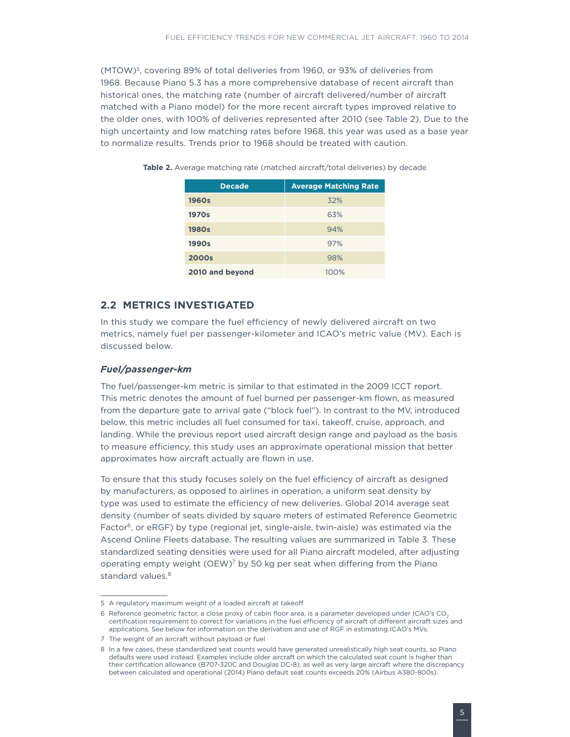<span id="page-10-0"></span>(MTOW)5, covering 89% of total deliveries from 1960, or 93% of deliveries from 1968. Because Piano 5.3 has a more comprehensive database of recent aircraft than historical ones, the matching rate (number of aircraft delivered/number of aircraft matched with a Piano model) for the more recent aircraft types improved relative to the older ones, with 100% of deliveries represented after 2010 (see Table 2). Due to the high uncertainty and low matching rates before 1968, this year was used as a base year to normalize results. Trends prior to 1968 should be treated with caution.

| <b>Decade</b>   | <b>Average Matching Rate</b> |
|-----------------|------------------------------|
| 1960s           | 32%                          |
| 1970s           | 63%                          |
| <b>1980s</b>    | 94%                          |
| 1990s           | 97%                          |
| 2000s           | 98%                          |
| 2010 and beyond | $100\%$                      |

Table 2. Average matching rate (matched aircraft/total deliveries) by decade

### **2.2 Metrics Investigated**

In this study we compare the fuel efficiency of newly delivered aircraft on two metrics, namely fuel per passenger-kilometer and ICAO's metric value (MV). Each is discussed below.

### *Fuel/passenger-km*

The fuel/passenger-km metric is similar to that estimated in the 2009 ICCT report. This metric denotes the amount of fuel burned per passenger-km flown, as measured from the departure gate to arrival gate ("block fuel"). In contrast to the MV, introduced below, this metric includes all fuel consumed for taxi, takeoff, cruise, approach, and landing. While the previous report used aircraft design range and payload as the basis to measure efficiency, this study uses an approximate operational mission that better approximates how aircraft actually are flown in use.

To ensure that this study focuses solely on the fuel efficiency of aircraft as designed by manufacturers, as opposed to airlines in operation, a uniform seat density by type was used to estimate the efficiency of new deliveries. Global 2014 average seat density (number of seats divided by square meters of estimated Reference Geometric Factor<sup>6</sup>, or eRGF) by type (regional jet, single-aisle, twin-aisle) was estimated via the Ascend Online Fleets database. The resulting values are summarized in Table 3. These standardized seating densities were used for all Piano aircraft modeled, after adjusting operating empty weight  $(OEW)^7$  by 50 kg per seat when differing from the Piano standard values.<sup>8</sup>

<sup>5</sup> A regulatory maximum weight of a loaded aircraft at takeoff

<sup>6</sup> Reference geometric factor, a close proxy of cabin floor area, is a parameter developed under ICAO's CO<sub>2</sub> certification requirement to correct for variations in the fuel efficiency of aircraft of different aircraft sizes and applications. See below for information on the derivation and use of RGF in estimating ICAO's MVs.

<sup>7</sup> The weight of an aircraft without payload or fuel

<sup>8</sup> In a few cases, these standardized seat counts would have generated unrealistically high seat counts, so Piano defaults were used instead. Examples include older aircraft on which the calculated seat count is higher than their certification allowance (B707-320C and Douglas DC-8), as well as very large aircraft where the discrepancy between calculated and operational (2014) Piano default seat counts exceeds 20% (Airbus A380-800s).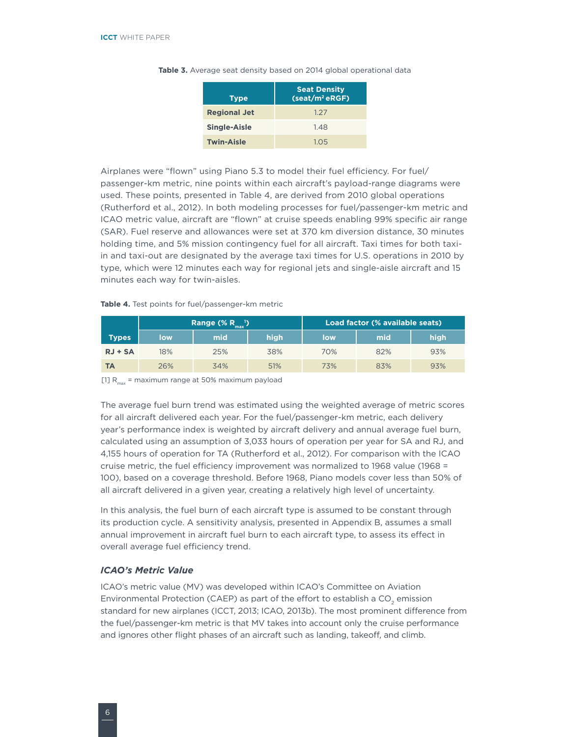| <b>Type</b>         | <b>Seat Density</b><br>(seat/m <sup>2</sup> eRGF) |
|---------------------|---------------------------------------------------|
| <b>Regional Jet</b> | 1.27                                              |
| Single-Aisle        | 1.48                                              |
| <b>Twin-Aisle</b>   | 1.05                                              |

<span id="page-11-0"></span>Table 3. Average seat density based on 2014 global operational data

Airplanes were "flown" using Piano 5.3 to model their fuel efficiency. For fuel/ passenger-km metric, nine points within each aircraft's payload-range diagrams were used. These points, presented in Table 4, are derived from 2010 global operations (Rutherford et al., 2012). In both modeling processes for fuel/passenger-km metric and ICAO metric value, aircraft are "flown" at cruise speeds enabling 99% specific air range (SAR). Fuel reserve and allowances were set at 370 km diversion distance, 30 minutes holding time, and 5% mission contingency fuel for all aircraft. Taxi times for both taxiin and taxi-out are designated by the average taxi times for U.S. operations in 2010 by type, which were 12 minutes each way for regional jets and single-aisle aircraft and 15 minutes each way for twin-aisles.

#### **Table 4.** Test points for fuel/passenger-km metric

|              | Range $(\% R_{max}^{-1})$ |     |      | Load factor (% available seats) |     |      |  |
|--------------|---------------------------|-----|------|---------------------------------|-----|------|--|
| <b>Types</b> | <b>low</b>                | mid | high | low                             | mid | high |  |
| $RJ + SA$    | 18%                       | 25% | 38%  | 70%                             | 82% | 93%  |  |
| TА           | 26%                       | 34% | 51%  | 73%                             | 83% | 93%  |  |

[1]  $R_{\text{max}}$  = maximum range at 50% maximum payload

The average fuel burn trend was estimated using the weighted average of metric scores for all aircraft delivered each year. For the fuel/passenger-km metric, each delivery year's performance index is weighted by aircraft delivery and annual average fuel burn, calculated using an assumption of 3,033 hours of operation per year for SA and RJ, and 4,155 hours of operation for TA (Rutherford et al., 2012). For comparison with the ICAO cruise metric, the fuel efficiency improvement was normalized to 1968 value (1968 = 100), based on a coverage threshold. Before 1968, Piano models cover less than 50% of all aircraft delivered in a given year, creating a relatively high level of uncertainty.

In this analysis, the fuel burn of each aircraft type is assumed to be constant through its production cycle. A sensitivity analysis, presented in Appendix B, assumes a small annual improvement in aircraft fuel burn to each aircraft type, to assess its effect in overall average fuel efficiency trend.

#### *ICAO's Metric Value*

ICAO's metric value (MV) was developed within ICAO's Committee on Aviation Environmental Protection (CAEP) as part of the effort to establish a CO<sub>2</sub> emission standard for new airplanes (ICCT, 2013; ICAO, 2013b). The most prominent difference from the fuel/passenger-km metric is that MV takes into account only the cruise performance and ignores other flight phases of an aircraft such as landing, takeoff, and climb.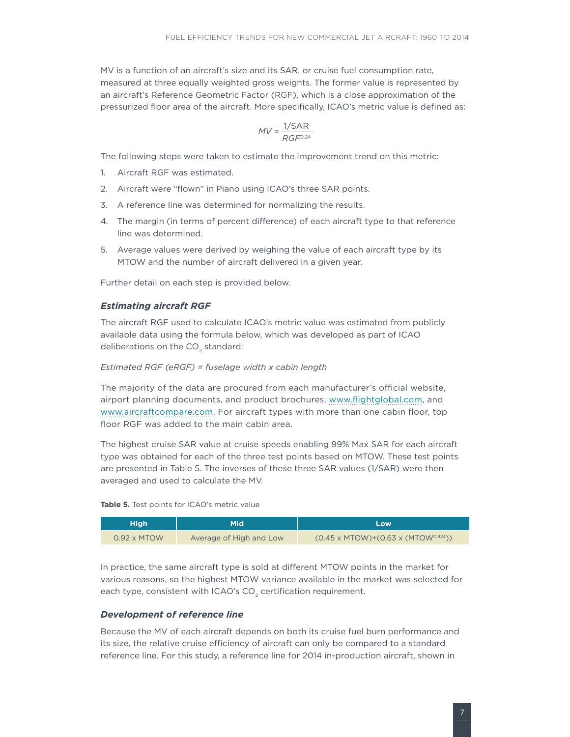<span id="page-12-0"></span>MV is a function of an aircraft's size and its SAR, or cruise fuel consumption rate, measured at three equally weighted gross weights. The former value is represented by an aircraft's Reference Geometric Factor (RGF), which is a close approximation of the pressurized floor area of the aircraft. More specifically, ICAO's metric value is defined as:

$$
MV = \frac{1/\mathsf{SAR}}{RGF^{0.24}}
$$

The following steps were taken to estimate the improvement trend on this metric:

- 1. Aircraft RGF was estimated.
- 2. Aircraft were "flown" in Piano using ICAO's three SAR points.
- 3. A reference line was determined for normalizing the results.
- 4. The margin (in terms of percent difference) of each aircraft type to that reference line was determined.
- 5. Average values were derived by weighing the value of each aircraft type by its MTOW and the number of aircraft delivered in a given year.

Further detail on each step is provided below.

#### *Estimating aircraft RGF*

The aircraft RGF used to calculate ICAO's metric value was estimated from publicly available data using the formula below, which was developed as part of ICAO deliberations on the CO<sub>2</sub> standard:

#### *Estimated RGF (eRGF) = fuselage width x cabin length*

The majority of the data are procured from each manufacturer's official website, airport planning documents, and product brochures, [www.flightglobal.com,](www.flightglobal.com) and [www.aircraftcompare.com](http://www.aircraftcompare.com). For aircraft types with more than one cabin floor, top floor RGF was added to the main cabin area.

The highest cruise SAR value at cruise speeds enabling 99% Max SAR for each aircraft type was obtained for each of the three test points based on MTOW. These test points are presented in Table 5. The inverses of these three SAR values (1/SAR) were then averaged and used to calculate the MV.

#### **Table 5.** Test points for ICAO's metric value

| <b>High</b>        | Mid                     | <b>Low</b>                                     |
|--------------------|-------------------------|------------------------------------------------|
| $0.92 \times$ MTOW | Average of High and Low | $(0.45 \times MTOW)+(0.63 \times (MTOW0.924))$ |

In practice, the same aircraft type is sold at different MTOW points in the market for various reasons, so the highest MTOW variance available in the market was selected for each type, consistent with ICAO's  $CO<sub>2</sub>$  certification requirement.

### *Development of reference line*

Because the MV of each aircraft depends on both its cruise fuel burn performance and its size, the relative cruise efficiency of aircraft can only be compared to a standard reference line. For this study, a reference line for 2014 in-production aircraft, shown in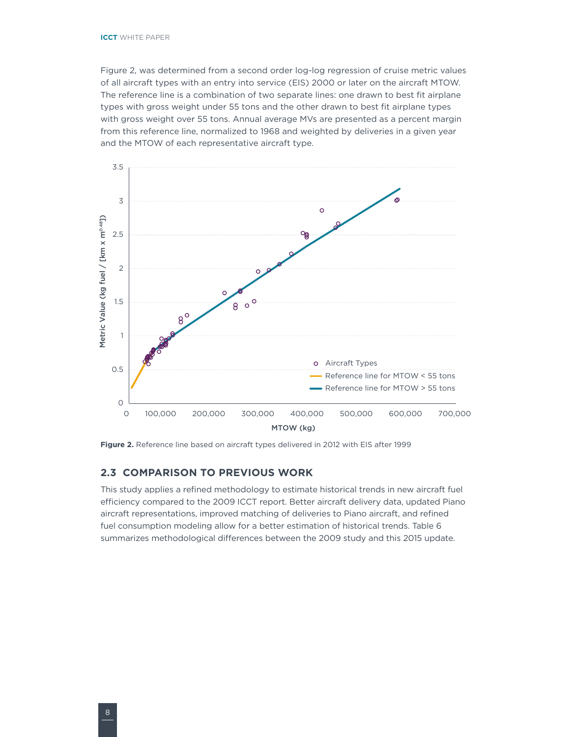<span id="page-13-0"></span>Figure 2, was determined from a second order log-log regression of cruise metric values of all aircraft types with an entry into service (EIS) 2000 or later on the aircraft MTOW. The reference line is a combination of two separate lines: one drawn to best fit airplane types with gross weight under 55 tons and the other drawn to best fit airplane types with gross weight over 55 tons. Annual average MVs are presented as a percent margin from this reference line, normalized to 1968 and weighted by deliveries in a given year and the MTOW of each representative aircraft type.



**Figure 2.** Reference line based on aircraft types delivered in 2012 with EIS after 1999

### **2.3 Comparison to previous work**

This study applies a refined methodology to estimate historical trends in new aircraft fuel efficiency compared to the 2009 ICCT report. Better aircraft delivery data, updated Piano aircraft representations, improved matching of deliveries to Piano aircraft, and refined fuel consumption modeling allow for a better estimation of historical trends. Table 6 summarizes methodological differences between the 2009 study and this 2015 update.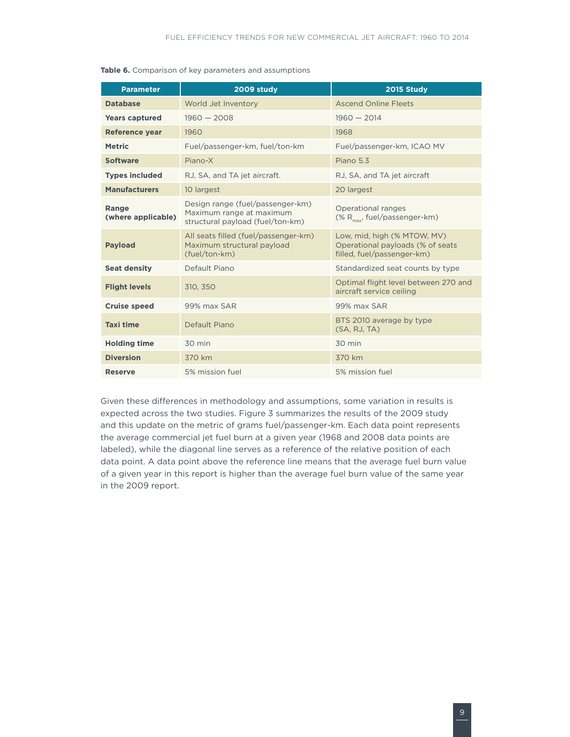<span id="page-14-0"></span>

|  |  |  |  |  | Table 6. Comparison of key parameters and assumptions |
|--|--|--|--|--|-------------------------------------------------------|
|--|--|--|--|--|-------------------------------------------------------|

| <b>Parameter</b>                   | 2009 study                                                                                       | 2015 Study                                                                                    |  |  |  |
|------------------------------------|--------------------------------------------------------------------------------------------------|-----------------------------------------------------------------------------------------------|--|--|--|
| <b>Database</b>                    | World Jet Inventory                                                                              | <b>Ascend Online Fleets</b>                                                                   |  |  |  |
| <b>Years captured</b>              | $1960 - 2008$                                                                                    | $1960 - 2014$                                                                                 |  |  |  |
| <b>Reference year</b>              | 1960                                                                                             | 1968                                                                                          |  |  |  |
| <b>Metric</b>                      | Fuel/passenger-km, fuel/ton-km                                                                   | Fuel/passenger-km, ICAO MV                                                                    |  |  |  |
| <b>Software</b>                    | Piano-X                                                                                          | Piano 5.3                                                                                     |  |  |  |
| <b>Types included</b>              | RJ, SA, and TA jet aircraft.                                                                     | RJ, SA, and TA jet aircraft                                                                   |  |  |  |
| <b>Manufacturers</b>               | 10 largest                                                                                       | 20 largest                                                                                    |  |  |  |
| <b>Range</b><br>(where applicable) | Design range (fuel/passenger-km)<br>Maximum range at maximum<br>structural payload (fuel/ton-km) | Operational ranges<br>(% $R_{max}$ , fuel/passenger-km)                                       |  |  |  |
| <b>Payload</b>                     | All seats filled (fuel/passenger-km)<br>Maximum structural payload<br>(fuel/ton-km)              | Low, mid, high (% MTOW, MV)<br>Operational payloads (% of seats<br>filled, fuel/passenger-km) |  |  |  |
| <b>Seat density</b>                | Default Piano                                                                                    | Standardized seat counts by type                                                              |  |  |  |
| <b>Flight levels</b>               | 310, 350                                                                                         | Optimal flight level between 270 and<br>aircraft service ceiling                              |  |  |  |
| <b>Cruise speed</b>                | 99% max SAR                                                                                      | 99% max SAR                                                                                   |  |  |  |
| <b>Taxi time</b>                   | Default Piano                                                                                    | BTS 2010 average by type<br>(SA, RJ, TA)                                                      |  |  |  |
| <b>Holding time</b>                | 30 min                                                                                           | 30 min                                                                                        |  |  |  |
| <b>Diversion</b>                   | 370 km                                                                                           | 370 km                                                                                        |  |  |  |
| <b>Reserve</b>                     | 5% mission fuel                                                                                  | 5% mission fuel                                                                               |  |  |  |

Given these differences in methodology and assumptions, some variation in results is expected across the two studies. Figure 3 summarizes the results of the 2009 study and this update on the metric of grams fuel/passenger-km. Each data point represents the average commercial jet fuel burn at a given year (1968 and 2008 data points are labeled), while the diagonal line serves as a reference of the relative position of each data point. A data point above the reference line means that the average fuel burn value of a given year in this report is higher than the average fuel burn value of the same year in the 2009 report.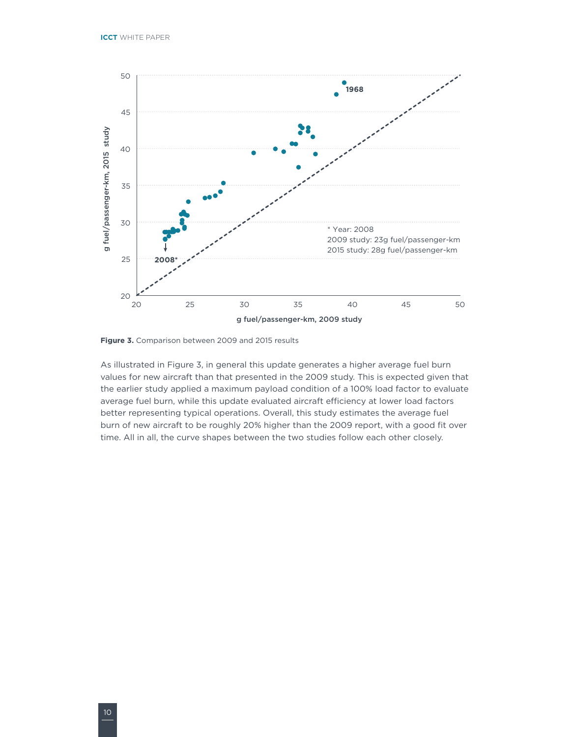<span id="page-15-0"></span>

**Figure 3.** Comparison between 2009 and 2015 results

As illustrated in Figure 3, in general this update generates a higher average fuel burn values for new aircraft than that presented in the 2009 study. This is expected given that the earlier study applied a maximum payload condition of a 100% load factor to evaluate average fuel burn, while this update evaluated aircraft efficiency at lower load factors better representing typical operations. Overall, this study estimates the average fuel burn of new aircraft to be roughly 20% higher than the 2009 report, with a good fit over time. All in all, the curve shapes between the two studies follow each other closely.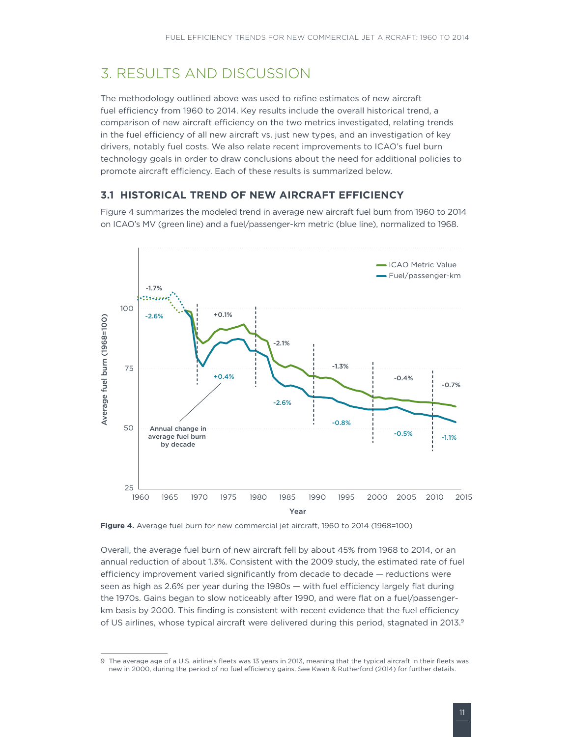# <span id="page-16-0"></span>3. RESULTS AND DISCUSSION

The methodology outlined above was used to refine estimates of new aircraft fuel efficiency from 1960 to 2014. Key results include the overall historical trend, a comparison of new aircraft efficiency on the two metrics investigated, relating trends in the fuel efficiency of all new aircraft vs. just new types, and an investigation of key drivers, notably fuel costs. We also relate recent improvements to ICAO's fuel burn technology goals in order to draw conclusions about the need for additional policies to promote aircraft efficiency. Each of these results is summarized below.

### **3.1 Historical trend of new aircraft efficiency**

Figure 4 summarizes the modeled trend in average new aircraft fuel burn from 1960 to 2014 on ICAO's MV (green line) and a fuel/passenger-km metric (blue line), normalized to 1968.



**Figure 4.** Average fuel burn for new commercial jet aircraft, 1960 to 2014 (1968=100)

Overall, the average fuel burn of new aircraft fell by about 45% from 1968 to 2014, or an annual reduction of about 1.3%. Consistent with the 2009 study, the estimated rate of fuel efficiency improvement varied significantly from decade to decade — reductions were seen as high as 2.6% per year during the 1980s — with fuel efficiency largely flat during the 1970s. Gains began to slow noticeably after 1990, and were flat on a fuel/passengerkm basis by 2000. This finding is consistent with recent evidence that the fuel efficiency of US airlines, whose typical aircraft were delivered during this period, stagnated in 2013.9

<sup>9</sup> The average age of a U.S. airline's fleets was 13 years in 2013, meaning that the typical aircraft in their fleets was new in 2000, during the period of no fuel efficiency gains. See Kwan & Rutherford (2014) for further details.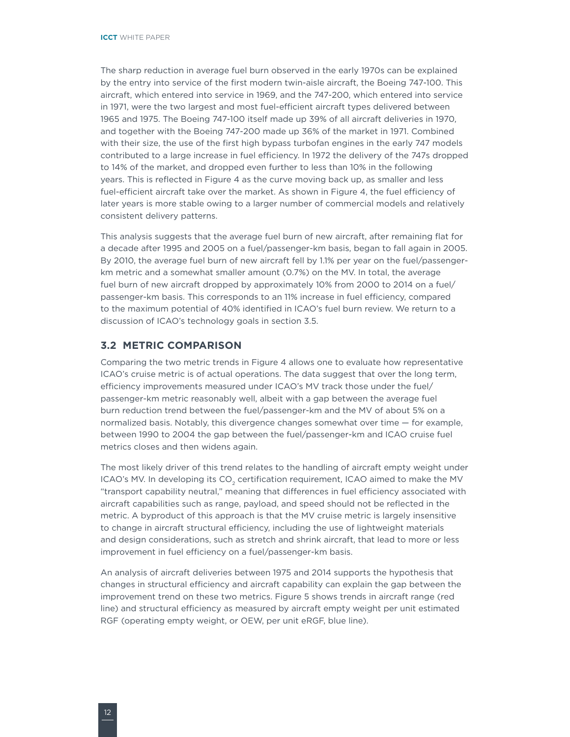<span id="page-17-0"></span>The sharp reduction in average fuel burn observed in the early 1970s can be explained by the entry into service of the first modern twin-aisle aircraft, the Boeing 747-100. This aircraft, which entered into service in 1969, and the 747-200, which entered into service in 1971, were the two largest and most fuel-efficient aircraft types delivered between 1965 and 1975. The Boeing 747-100 itself made up 39% of all aircraft deliveries in 1970, and together with the Boeing 747-200 made up 36% of the market in 1971. Combined with their size, the use of the first high bypass turbofan engines in the early 747 models contributed to a large increase in fuel efficiency. In 1972 the delivery of the 747s dropped to 14% of the market, and dropped even further to less than 10% in the following years. This is reflected in Figure 4 as the curve moving back up, as smaller and less fuel-efficient aircraft take over the market. As shown in Figure 4, the fuel efficiency of later years is more stable owing to a larger number of commercial models and relatively consistent delivery patterns.

This analysis suggests that the average fuel burn of new aircraft, after remaining flat for a decade after 1995 and 2005 on a fuel/passenger-km basis, began to fall again in 2005. By 2010, the average fuel burn of new aircraft fell by 1.1% per year on the fuel/passengerkm metric and a somewhat smaller amount (0.7%) on the MV. In total, the average fuel burn of new aircraft dropped by approximately 10% from 2000 to 2014 on a fuel/ passenger-km basis. This corresponds to an 11% increase in fuel efficiency, compared to the maximum potential of 40% identified in ICAO's fuel burn review. We return to a discussion of ICAO's technology goals in section 3.5.

### **3.2 Metric comparison**

Comparing the two metric trends in Figure 4 allows one to evaluate how representative ICAO's cruise metric is of actual operations. The data suggest that over the long term, efficiency improvements measured under ICAO's MV track those under the fuel/ passenger-km metric reasonably well, albeit with a gap between the average fuel burn reduction trend between the fuel/passenger-km and the MV of about 5% on a normalized basis. Notably, this divergence changes somewhat over time — for example, between 1990 to 2004 the gap between the fuel/passenger-km and ICAO cruise fuel metrics closes and then widens again.

The most likely driver of this trend relates to the handling of aircraft empty weight under ICAO's MV. In developing its CO<sub>2</sub> certification requirement, ICAO aimed to make the MV "transport capability neutral," meaning that differences in fuel efficiency associated with aircraft capabilities such as range, payload, and speed should not be reflected in the metric. A byproduct of this approach is that the MV cruise metric is largely insensitive to change in aircraft structural efficiency, including the use of lightweight materials and design considerations, such as stretch and shrink aircraft, that lead to more or less improvement in fuel efficiency on a fuel/passenger-km basis.

An analysis of aircraft deliveries between 1975 and 2014 supports the hypothesis that changes in structural efficiency and aircraft capability can explain the gap between the improvement trend on these two metrics. Figure 5 shows trends in aircraft range (red line) and structural efficiency as measured by aircraft empty weight per unit estimated RGF (operating empty weight, or OEW, per unit eRGF, blue line).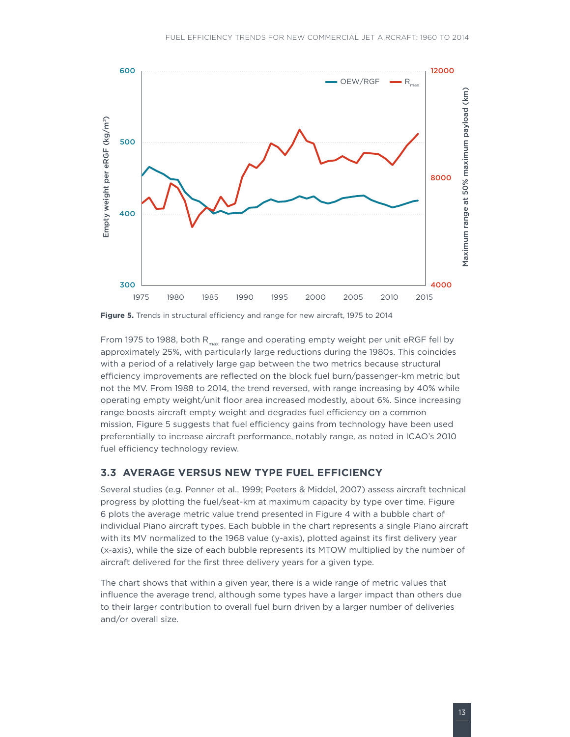<span id="page-18-0"></span>

**Figure 5.** Trends in structural efficiency and range for new aircraft, 1975 to 2014

From 1975 to 1988, both  $R_{\text{max}}$  range and operating empty weight per unit eRGF fell by approximately 25%, with particularly large reductions during the 1980s. This coincides with a period of a relatively large gap between the two metrics because structural efficiency improvements are reflected on the block fuel burn/passenger-km metric but not the MV. From 1988 to 2014, the trend reversed, with range increasing by 40% while operating empty weight/unit floor area increased modestly, about 6%. Since increasing range boosts aircraft empty weight and degrades fuel efficiency on a common mission, Figure 5 suggests that fuel efficiency gains from technology have been used preferentially to increase aircraft performance, notably range, as noted in ICAO's 2010 fuel efficiency technology review.

### **3.3 Average versus new type fuel efficiency**

Several studies (e.g. Penner et al., 1999; Peeters & Middel, 2007) assess aircraft technical progress by plotting the fuel/seat-km at maximum capacity by type over time. Figure 6 plots the average metric value trend presented in Figure 4 with a bubble chart of individual Piano aircraft types. Each bubble in the chart represents a single Piano aircraft with its MV normalized to the 1968 value (y-axis), plotted against its first delivery year (x-axis), while the size of each bubble represents its MTOW multiplied by the number of aircraft delivered for the first three delivery years for a given type.

The chart shows that within a given year, there is a wide range of metric values that influence the average trend, although some types have a larger impact than others due to their larger contribution to overall fuel burn driven by a larger number of deliveries and/or overall size.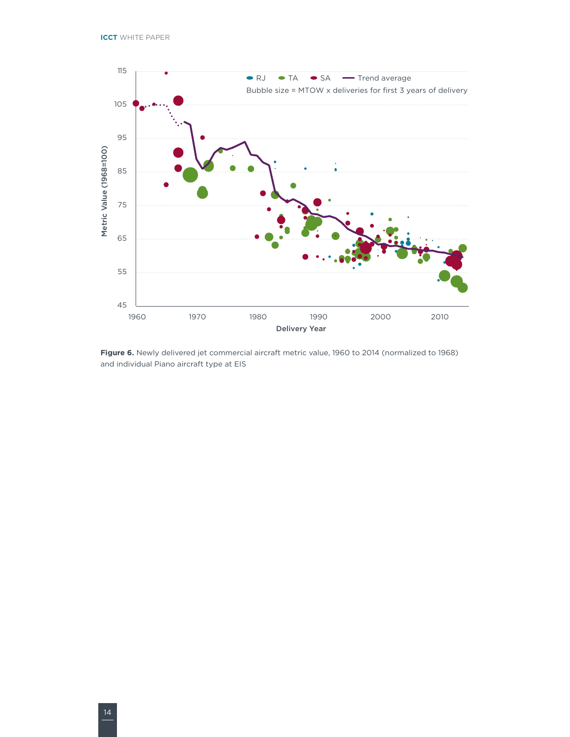<span id="page-19-0"></span>

**Figure 6.** Newly delivered jet commercial aircraft metric value, 1960 to 2014 (normalized to 1968) and individual Piano aircraft type at EIS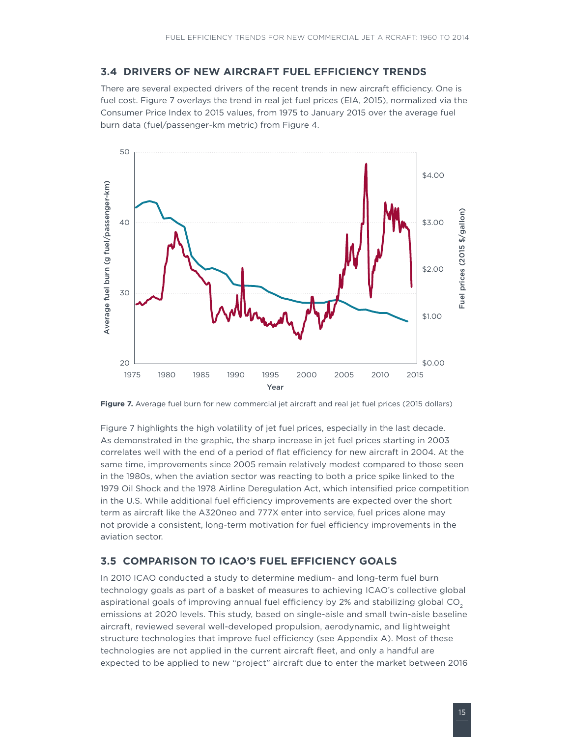### <span id="page-20-0"></span>**3.4 Drivers of new aircraft fuel efficiency trends**

There are several expected drivers of the recent trends in new aircraft efficiency. One is fuel cost. Figure 7 overlays the trend in real jet fuel prices (EIA, 2015), normalized via the Consumer Price Index to 2015 values, from 1975 to January 2015 over the average fuel burn data (fuel/passenger-km metric) from Figure 4.



**Figure 7.** Average fuel burn for new commercial jet aircraft and real jet fuel prices (2015 dollars)

Figure 7 highlights the high volatility of jet fuel prices, especially in the last decade. As demonstrated in the graphic, the sharp increase in jet fuel prices starting in 2003 correlates well with the end of a period of flat efficiency for new aircraft in 2004. At the same time, improvements since 2005 remain relatively modest compared to those seen in the 1980s, when the aviation sector was reacting to both a price spike linked to the 1979 Oil Shock and the 1978 Airline Deregulation Act, which intensified price competition in the U.S. While additional fuel efficiency improvements are expected over the short term as aircraft like the A320neo and 777X enter into service, fuel prices alone may not provide a consistent, long-term motivation for fuel efficiency improvements in the aviation sector.

### **3.5 Comparison to ICAO's fuel efficiency goals**

In 2010 ICAO conducted a study to determine medium- and long-term fuel burn technology goals as part of a basket of measures to achieving ICAO's collective global aspirational goals of improving annual fuel efficiency by 2% and stabilizing global  $CO<sub>2</sub>$ emissions at 2020 levels. This study, based on single-aisle and small twin-aisle baseline aircraft, reviewed several well-developed propulsion, aerodynamic, and lightweight structure technologies that improve fuel efficiency (see Appendix A). Most of these technologies are not applied in the current aircraft fleet, and only a handful are expected to be applied to new "project" aircraft due to enter the market between 2016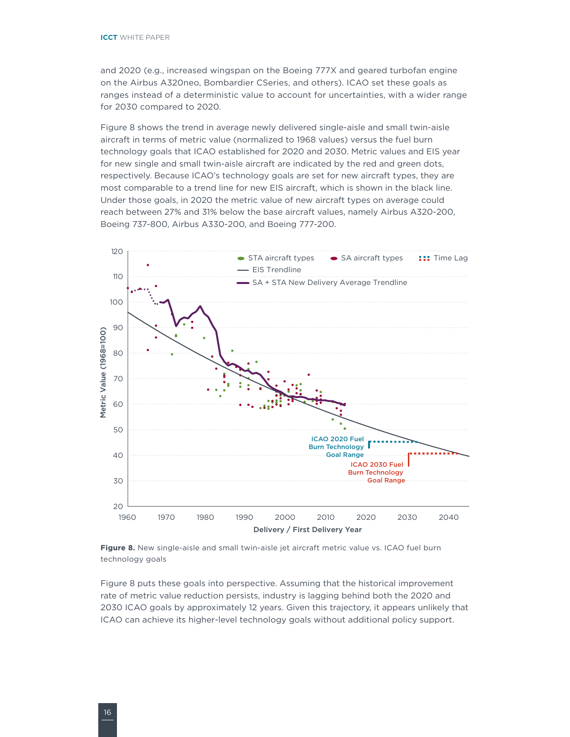<span id="page-21-0"></span>and 2020 (e.g., increased wingspan on the Boeing 777X and geared turbofan engine on the Airbus A320neo, Bombardier CSeries, and others). ICAO set these goals as ranges instead of a deterministic value to account for uncertainties, with a wider range for 2030 compared to 2020.

Figure 8 shows the trend in average newly delivered single-aisle and small twin-aisle aircraft in terms of metric value (normalized to 1968 values) versus the fuel burn technology goals that ICAO established for 2020 and 2030. Metric values and EIS year for new single and small twin-aisle aircraft are indicated by the red and green dots, respectively. Because ICAO's technology goals are set for new aircraft types, they are most comparable to a trend line for new EIS aircraft, which is shown in the black line. Under those goals, in 2020 the metric value of new aircraft types on average could reach between 27% and 31% below the base aircraft values, namely Airbus A320-200, Boeing 737-800, Airbus A330-200, and Boeing 777-200.



**Figure 8.** New single-aisle and small twin-aisle jet aircraft metric value vs. ICAO fuel burn technology goals

Figure 8 puts these goals into perspective. Assuming that the historical improvement rate of metric value reduction persists, industry is lagging behind both the 2020 and 2030 ICAO goals by approximately 12 years. Given this trajectory, it appears unlikely that ICAO can achieve its higher-level technology goals without additional policy support.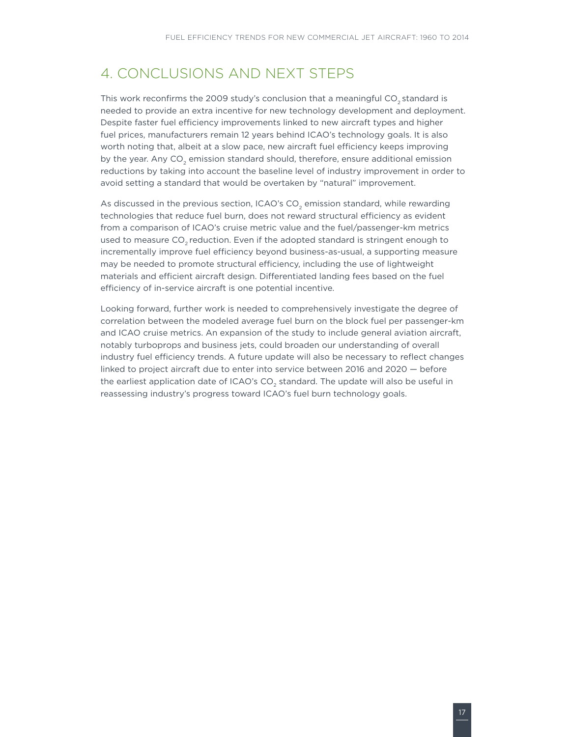## <span id="page-22-0"></span>4. Conclusions and Next Steps

This work reconfirms the 2009 study's conclusion that a meaningful CO<sub>2</sub> standard is needed to provide an extra incentive for new technology development and deployment. Despite faster fuel efficiency improvements linked to new aircraft types and higher fuel prices, manufacturers remain 12 years behind ICAO's technology goals. It is also worth noting that, albeit at a slow pace, new aircraft fuel efficiency keeps improving by the year. Any CO<sub>2</sub> emission standard should, therefore, ensure additional emission reductions by taking into account the baseline level of industry improvement in order to avoid setting a standard that would be overtaken by "natural" improvement.

As discussed in the previous section, ICAO's CO<sub>2</sub> emission standard, while rewarding technologies that reduce fuel burn, does not reward structural efficiency as evident from a comparison of ICAO's cruise metric value and the fuel/passenger-km metrics used to measure  $CO<sub>2</sub>$  reduction. Even if the adopted standard is stringent enough to incrementally improve fuel efficiency beyond business-as-usual, a supporting measure may be needed to promote structural efficiency, including the use of lightweight materials and efficient aircraft design. Differentiated landing fees based on the fuel efficiency of in-service aircraft is one potential incentive.

Looking forward, further work is needed to comprehensively investigate the degree of correlation between the modeled average fuel burn on the block fuel per passenger-km and ICAO cruise metrics. An expansion of the study to include general aviation aircraft, notably turboprops and business jets, could broaden our understanding of overall industry fuel efficiency trends. A future update will also be necessary to reflect changes linked to project aircraft due to enter into service between 2016 and 2020 — before the earliest application date of ICAO's CO<sub>2</sub> standard. The update will also be useful in reassessing industry's progress toward ICAO's fuel burn technology goals.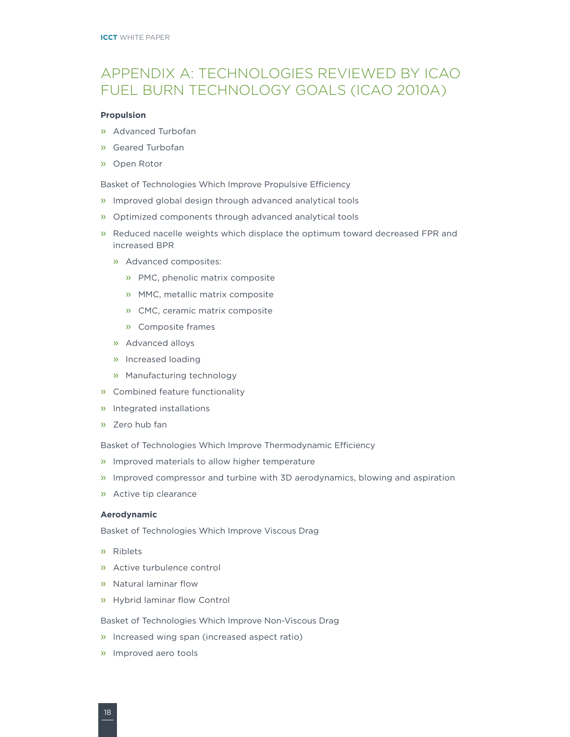# <span id="page-23-0"></span>Appendix A: Technologies Reviewed by ICAO Fuel Burn Technology Goals (ICAO 2010a)

#### **Propulsion**

- » Advanced Turbofan
- » Geared Turbofan
- » Open Rotor

Basket of Technologies Which Improve Propulsive Efficiency

- » Improved global design through advanced analytical tools
- » Optimized components through advanced analytical tools
- » Reduced nacelle weights which displace the optimum toward decreased FPR and increased BPR
	- » Advanced composites:
		- » PMC, phenolic matrix composite
		- » MMC, metallic matrix composite
		- » CMC, ceramic matrix composite
		- » Composite frames
	- » Advanced alloys
	- » Increased loading
	- » Manufacturing technology
- » Combined feature functionality
- » Integrated installations
- » Zero hub fan

Basket of Technologies Which Improve Thermodynamic Efficiency

- » Improved materials to allow higher temperature
- » Improved compressor and turbine with 3D aerodynamics, blowing and aspiration
- » Active tip clearance

#### **Aerodynamic**

Basket of Technologies Which Improve Viscous Drag

- » Riblets
- » Active turbulence control
- » Natural laminar flow
- » Hybrid laminar flow Control

Basket of Technologies Which Improve Non-Viscous Drag

- » Increased wing span (increased aspect ratio)
- » Improved aero tools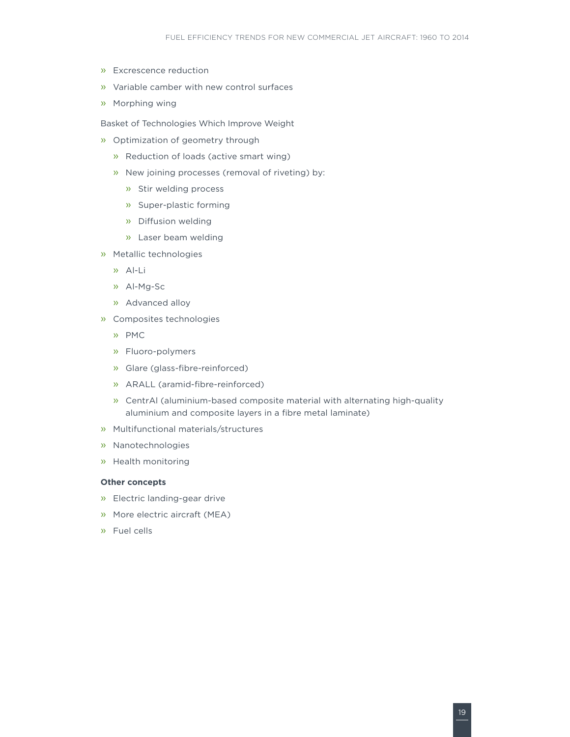- » Excrescence reduction
- » Variable camber with new control surfaces
- » Morphing wing

Basket of Technologies Which Improve Weight

- » Optimization of geometry through
	- » Reduction of loads (active smart wing)
	- » New joining processes (removal of riveting) by:
		- » Stir welding process
		- » Super-plastic forming
		- » Diffusion welding
		- » Laser beam welding
- » Metallic technologies
	- » Al-Li
	- » Al-Mg-Sc
	- » Advanced alloy
- » Composites technologies
	- » PMC
	- » Fluoro-polymers
	- » Glare (glass-fibre-reinforced)
	- » ARALL (aramid-fibre-reinforced)
	- » CentrAl (aluminium-based composite material with alternating high-quality aluminium and composite layers in a fibre metal laminate)
- » Multifunctional materials/structures
- » Nanotechnologies
- » Health monitoring

### **Other concepts**

- » Electric landing-gear drive
- » More electric aircraft (MEA)
- » Fuel cells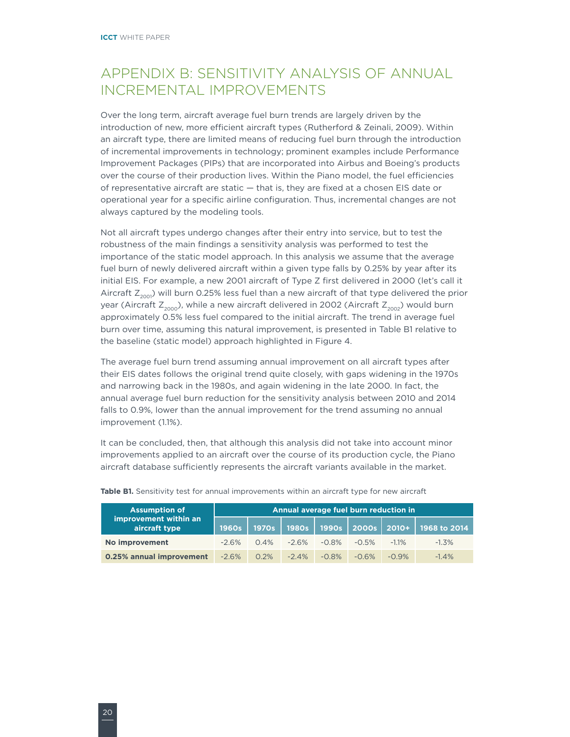# <span id="page-25-0"></span>Appendix B: Sensitivity Analysis of Annual Incremental Improvements

Over the long term, aircraft average fuel burn trends are largely driven by the introduction of new, more efficient aircraft types (Rutherford & Zeinali, 2009). Within an aircraft type, there are limited means of reducing fuel burn through the introduction of incremental improvements in technology; prominent examples include Performance Improvement Packages (PIPs) that are incorporated into Airbus and Boeing's products over the course of their production lives. Within the Piano model, the fuel efficiencies of representative aircraft are static — that is, they are fixed at a chosen EIS date or operational year for a specific airline configuration. Thus, incremental changes are not always captured by the modeling tools.

Not all aircraft types undergo changes after their entry into service, but to test the robustness of the main findings a sensitivity analysis was performed to test the importance of the static model approach. In this analysis we assume that the average fuel burn of newly delivered aircraft within a given type falls by 0.25% by year after its initial EIS. For example, a new 2001 aircraft of Type Z first delivered in 2000 (let's call it Aircraft  $Z_{200}$ ) will burn 0.25% less fuel than a new aircraft of that type delivered the prior year (Aircraft  $Z_{2000}$ ), while a new aircraft delivered in 2002 (Aircraft  $Z_{2002}$ ) would burn approximately 0.5% less fuel compared to the initial aircraft. The trend in average fuel burn over time, assuming this natural improvement, is presented in Table B1 relative to the baseline (static model) approach highlighted in Figure 4.

The average fuel burn trend assuming annual improvement on all aircraft types after their EIS dates follows the original trend quite closely, with gaps widening in the 1970s and narrowing back in the 1980s, and again widening in the late 2000. In fact, the annual average fuel burn reduction for the sensitivity analysis between 2010 and 2014 falls to 0.9%, lower than the annual improvement for the trend assuming no annual improvement (1.1%).

It can be concluded, then, that although this analysis did not take into account minor improvements applied to an aircraft over the course of its production cycle, the Piano aircraft database sufficiently represents the aircraft variants available in the market.

| <b>Assumption of</b>                       |          | Annual average fuel burn reduction in |          |          |          |          |                                                      |
|--------------------------------------------|----------|---------------------------------------|----------|----------|----------|----------|------------------------------------------------------|
| improvement within an<br>aircraft type     | 1960s    |                                       |          |          |          |          | 1970s   1980s   1990s   2000s   2010+   1968 to 2014 |
| No improvement                             | $-2.6\%$ | $0.4\%$                               | $-2.6\%$ | $-0.8\%$ | $-0.5\%$ | $-1.1\%$ | $-1.3\%$                                             |
| <b>0.25% annual improvement</b> -2.6% 0.2% |          |                                       | $-2.4\%$ | $-0.8\%$ | $-0.6\%$ | $-0.9\%$ | $-1.4%$                                              |

Table B1. Sensitivity test for annual improvements within an aircraft type for new aircraft